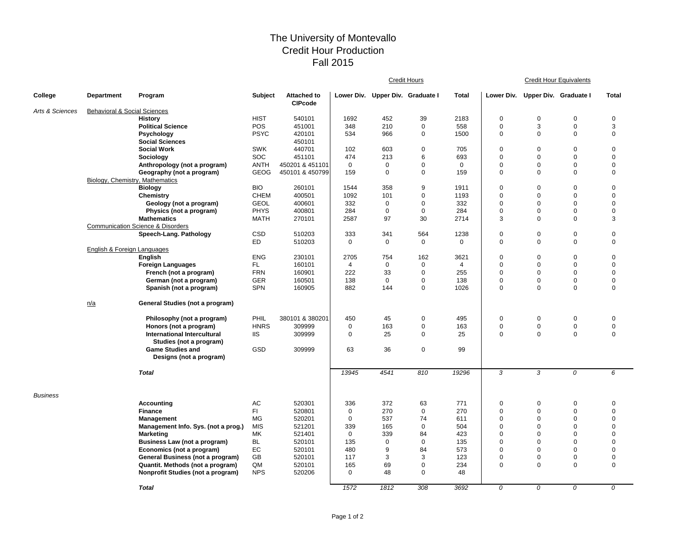## The University of Montevallo Credit Hour Production Fall 2015

|                 |                                         |                                              |                |                                      |                |                                  | Credit Hours |                | <b>Credit Hour Equivalents</b> |                                  |             |                |  |
|-----------------|-----------------------------------------|----------------------------------------------|----------------|--------------------------------------|----------------|----------------------------------|--------------|----------------|--------------------------------|----------------------------------|-------------|----------------|--|
| College         | <b>Department</b>                       | Program                                      | <b>Subject</b> | <b>Attached to</b><br><b>CIPcode</b> |                | Lower Div. Upper Div. Graduate I |              | <b>Total</b>   |                                | Lower Div. Upper Div. Graduate I |             | <b>Total</b>   |  |
| Arts & Sciences | <b>Behavioral &amp; Social Sciences</b> |                                              |                |                                      |                |                                  |              |                |                                |                                  |             |                |  |
|                 |                                         | <b>History</b>                               | <b>HIST</b>    | 540101                               | 1692           | 452                              | 39           | 2183           | $\mathbf 0$                    | $\mathbf 0$                      | $\mathbf 0$ | $\mathbf 0$    |  |
|                 |                                         | <b>Political Science</b>                     | POS            | 451001                               | 348            | 210                              | $\mathbf 0$  | 558            | 0                              | 3                                | $\pmb{0}$   | 3              |  |
|                 |                                         | Psychology<br><b>Social Sciences</b>         | <b>PSYC</b>    | 420101<br>450101                     | 534            | 966                              | $\mathbf 0$  | 1500           | 0                              | $\mathbf 0$                      | $\mathbf 0$ | 0              |  |
|                 |                                         | <b>Social Work</b>                           | <b>SWK</b>     | 440701                               | 102            | 603                              | $\mathbf 0$  | 705            | $\mathbf 0$                    | $\mathbf 0$                      | $\mathbf 0$ | 0              |  |
|                 |                                         | Sociology                                    | SOC            | 451101                               | 474            | 213                              | 6            | 693            | 0                              | $\mathbf 0$                      | $\mathbf 0$ | 0              |  |
|                 |                                         | Anthropology (not a program)                 | <b>ANTH</b>    | 450201 & 451101                      | $\mathbf 0$    | $\mathbf 0$                      | $\mathbf 0$  | $\mathbf 0$    | 0                              | $\pmb{0}$                        | $\mathbf 0$ | 0              |  |
|                 |                                         | Geography (not a program)                    | <b>GEOG</b>    | 450101 & 450799                      | 159            | $\mathbf 0$                      | $\mathbf 0$  | 159            | $\mathbf 0$                    | $\mathbf 0$                      | $\mathbf 0$ | $\mathbf 0$    |  |
|                 |                                         | Biology, Chemistry, Mathematics              |                |                                      |                |                                  |              |                |                                |                                  |             |                |  |
|                 |                                         | <b>Biology</b>                               | <b>BIO</b>     | 260101                               | 1544           | 358                              | 9            | 1911           | $\mathbf 0$                    | $\mathbf 0$                      | $\mathbf 0$ | $\mathbf 0$    |  |
|                 |                                         | Chemistry                                    | <b>CHEM</b>    | 400501                               | 1092           | 101                              | $\mathbf 0$  | 1193           | $\mathbf 0$                    | $\mathbf 0$                      | $\Omega$    | $\Omega$       |  |
|                 |                                         | Geology (not a program)                      | <b>GEOL</b>    | 400601                               | 332            | $\Omega$                         | $\mathbf 0$  | 332            | 0                              | $\mathbf 0$                      | $\Omega$    | $\overline{0}$ |  |
|                 |                                         | Physics (not a program)                      | <b>PHYS</b>    | 400801                               | 284            | 0                                | $\mathbf 0$  | 284            | $\mathbf 0$                    | $\mathbf 0$                      | $\mathbf 0$ | 0              |  |
|                 |                                         |                                              |                |                                      |                |                                  |              |                |                                |                                  |             |                |  |
|                 |                                         | <b>Mathematics</b>                           | <b>MATH</b>    | 270101                               | 2587           | 97                               | 30           | 2714           | 3                              | $\mathbf 0$                      | $\Omega$    | 3              |  |
|                 |                                         | <b>Communication Science &amp; Disorders</b> |                |                                      |                |                                  |              |                |                                |                                  |             |                |  |
|                 |                                         | Speech-Lang. Pathology                       | <b>CSD</b>     | 510203                               | 333            | 341                              | 564          | 1238           | 0                              | $\mathbf 0$                      | $\mathbf 0$ | 0              |  |
|                 |                                         |                                              | ED.            | 510203                               | $\mathbf 0$    | $\mathbf 0$                      | $\mathbf 0$  | $\mathbf 0$    | $\mathbf 0$                    | $\mathbf 0$                      | $\Omega$    | $\mathbf 0$    |  |
|                 | English & Foreign Languages             |                                              |                |                                      |                |                                  |              |                |                                |                                  |             |                |  |
|                 |                                         | English                                      | <b>ENG</b>     | 230101                               | 2705           | 754                              | 162          | 3621           | 0                              | $\mathbf 0$                      | $\mathbf 0$ | $\Omega$       |  |
|                 |                                         | <b>Foreign Languages</b>                     | FL.            | 160101                               | $\overline{4}$ | $\mathbf 0$                      | $\mathbf 0$  | $\overline{4}$ | 0                              | $\mathbf 0$                      | $\mathbf 0$ | 0              |  |
|                 |                                         | French (not a program)                       | <b>FRN</b>     | 160901                               | 222            | 33                               | $\mathbf 0$  | 255            | 0                              | $\mathbf 0$                      | $\mathbf 0$ | 0              |  |
|                 |                                         | German (not a program)                       | <b>GER</b>     | 160501                               | 138            | $\mathbf{0}$                     | $\mathbf 0$  | 138            | 0                              | $\mathbf 0$                      | $\mathbf 0$ | 0              |  |
|                 |                                         | Spanish (not a program)                      | <b>SPN</b>     | 160905                               | 882            | 144                              | $\mathbf 0$  | 1026           | 0                              | $\mathbf 0$                      | $\mathbf 0$ | $\mathbf 0$    |  |
|                 | n/a                                     | General Studies (not a program)              |                |                                      |                |                                  |              |                |                                |                                  |             |                |  |
|                 |                                         | Philosophy (not a program)                   | PHIL           | 380101 & 380201                      | 450            | 45                               | $\mathbf 0$  | 495            | 0                              | $\mathbf 0$                      | $\mathbf 0$ | $\mathbf 0$    |  |
|                 |                                         | Honors (not a program)                       | <b>HNRS</b>    | 309999                               | 0              | 163                              | 0            | 163            | 0                              | $\mathbf 0$                      | $\mathbf 0$ | $\mathbf 0$    |  |
|                 |                                         | <b>International Intercultural</b>           | <b>IIS</b>     | 309999                               | $\mathbf 0$    | 25                               | $\mathbf 0$  | 25             | $\mathbf 0$                    | $\mathbf 0$                      | $\mathbf 0$ | $\mathbf 0$    |  |
|                 |                                         | Studies (not a program)                      |                |                                      |                |                                  |              |                |                                |                                  |             |                |  |
|                 |                                         | <b>Game Studies and</b>                      | GSD            | 309999                               | 63             | 36                               | $\mathbf 0$  | 99             |                                |                                  |             |                |  |
|                 |                                         | Designs (not a program)                      |                |                                      |                |                                  |              |                |                                |                                  |             |                |  |
|                 |                                         | <b>Total</b>                                 |                |                                      | 13945          | 4541                             | 810          | 19296          | 3                              | 3                                | 0           | 6              |  |
| <b>Business</b> |                                         |                                              |                |                                      |                |                                  |              |                |                                |                                  |             |                |  |
|                 |                                         | Accounting                                   | AC             | 520301                               | 336            | 372                              | 63           | 771            | 0                              | $\pmb{0}$                        | $\mathbf 0$ | 0              |  |
|                 |                                         | <b>Finance</b>                               | FI.            | 520801                               | 0              | 270                              | $\mathbf 0$  | 270            | 0                              | $\mathbf 0$                      | $\mathbf 0$ | 0              |  |
|                 |                                         | <b>Management</b>                            | MG             | 520201                               | $\mathbf 0$    | 537                              | 74           | 611            | 0                              | $\mathbf 0$                      | $\mathbf 0$ | 0              |  |
|                 |                                         | Management Info. Sys. (not a prog.)          | <b>MIS</b>     | 521201                               | 339            | 165                              | 0            | 504            | $\mathbf 0$                    | $\mathbf 0$                      | $\mathbf 0$ | 0              |  |
|                 |                                         | <b>Marketing</b>                             | МK             | 521401                               | $\Omega$       | 339                              | 84           | 423            | $\mathbf 0$                    | $\mathbf 0$                      | $\Omega$    | $\Omega$       |  |
|                 |                                         | Business Law (not a program)                 | <b>BL</b>      | 520101                               | 135            | $\mathbf 0$                      | $\mathbf 0$  | 135            | $\mathbf 0$                    | $\mathbf 0$                      | $\mathbf 0$ | $\Omega$       |  |
|                 |                                         | Economics (not a program)                    | EC             | 520101                               | 480            | 9                                | 84           | 573            | 0                              | $\mathbf 0$                      | $\mathbf 0$ | 0              |  |
|                 |                                         |                                              |                |                                      |                |                                  |              |                |                                |                                  |             |                |  |
|                 |                                         | General Business (not a program)             | GB             | 520101                               | 117            | 3                                | 3            | 123            | 0                              | $\mathbf 0$                      | $\mathbf 0$ | $\pmb{0}$      |  |
|                 |                                         | Quantit. Methods (not a program)             | QM             | 520101                               | 165            | 69                               | 0            | 234            | $\mathbf 0$                    | $\mathbf 0$                      | $\mathbf 0$ | $\mathbf 0$    |  |
|                 |                                         | Nonprofit Studies (not a program)            | <b>NPS</b>     | 520206                               | $\mathbf 0$    | 48                               | $\mathbf 0$  | 48             |                                |                                  |             |                |  |
|                 |                                         | <b>Total</b>                                 |                |                                      | 1572           | 1812                             | 308          | 3692           | 0                              | $\Omega$                         | $\Omega$    | 0              |  |